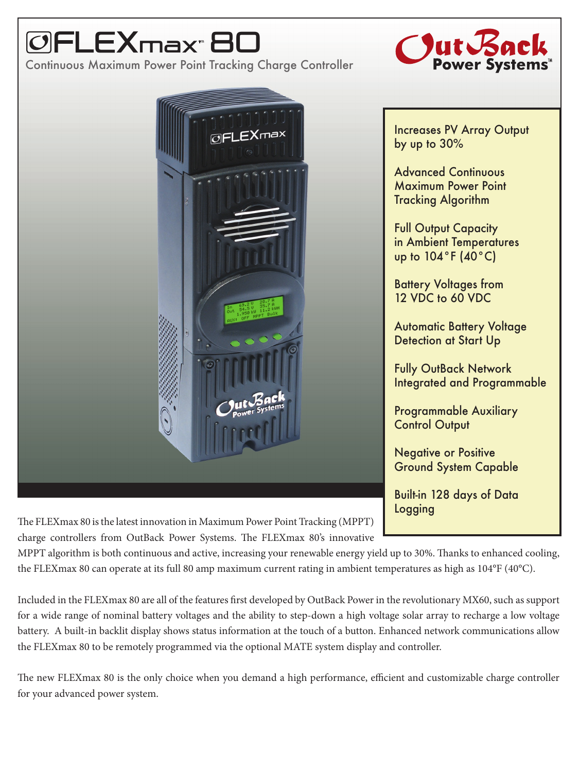## max $^{\circ}$ 80

Continuous Maximum Power Point Tracking Charge Controller





The FLEXmax 80 is the latest innovation in Maximum Power Point Tracking (MPPT) charge controllers from OutBack Power Systems. The FLEXmax 80's innovative

MPPT algorithm is both continuous and active, increasing your renewable energy yield up to 30%. Thanks to enhanced cooling, the FLEXmax 80 can operate at its full 80 amp maximum current rating in ambient temperatures as high as 104°F (40°C).

Included in the FLEXmax 80 are all of the features first developed by OutBack Power in the revolutionary MX60, such as support for a wide range of nominal battery voltages and the ability to step-down a high voltage solar array to recharge a low voltage battery. A built-in backlit display shows status information at the touch of a button. Enhanced network communications allow the FLEXmax 80 to be remotely programmed via the optional MATE system display and controller.

The new FLEXmax 80 is the only choice when you demand a high performance, efficient and customizable charge controller for your advanced power system.